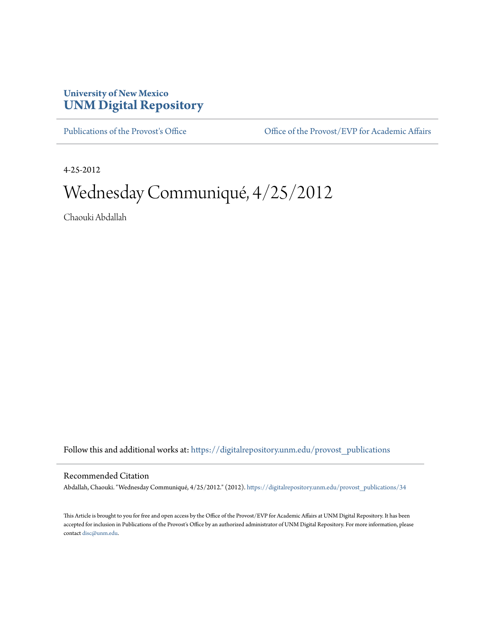## **University of New Mexico [UNM Digital Repository](https://digitalrepository.unm.edu?utm_source=digitalrepository.unm.edu%2Fprovost_publications%2F34&utm_medium=PDF&utm_campaign=PDFCoverPages)**

[Publications of the Provost's Office](https://digitalrepository.unm.edu/provost_publications?utm_source=digitalrepository.unm.edu%2Fprovost_publications%2F34&utm_medium=PDF&utm_campaign=PDFCoverPages) Office [Office of the Provost/EVP for Academic Affairs](https://digitalrepository.unm.edu/ofc_provost?utm_source=digitalrepository.unm.edu%2Fprovost_publications%2F34&utm_medium=PDF&utm_campaign=PDFCoverPages)

4-25-2012

# Wednesday Communiqué, 4/25/2012

Chaouki Abdallah

Follow this and additional works at: [https://digitalrepository.unm.edu/provost\\_publications](https://digitalrepository.unm.edu/provost_publications?utm_source=digitalrepository.unm.edu%2Fprovost_publications%2F34&utm_medium=PDF&utm_campaign=PDFCoverPages)

#### Recommended Citation

Abdallah, Chaouki. "Wednesday Communiqué, 4/25/2012." (2012). [https://digitalrepository.unm.edu/provost\\_publications/34](https://digitalrepository.unm.edu/provost_publications/34?utm_source=digitalrepository.unm.edu%2Fprovost_publications%2F34&utm_medium=PDF&utm_campaign=PDFCoverPages)

This Article is brought to you for free and open access by the Office of the Provost/EVP for Academic Affairs at UNM Digital Repository. It has been accepted for inclusion in Publications of the Provost's Office by an authorized administrator of UNM Digital Repository. For more information, please contact [disc@unm.edu.](mailto:disc@unm.edu)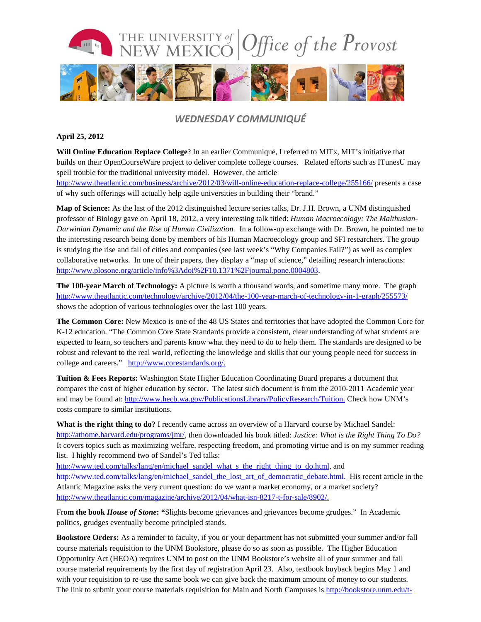

### *WEDNESDAY COMMUNIQUÉ*

#### **April 25, 2012**

**Will Online Education Replace College**? In an earlier Communiqué, I referred to MITx, MIT's initiative that builds on their OpenCourseWare project to deliver complete college courses. Related efforts such as ITunesU may spell trouble for the traditional university model. However, the article <http://www.theatlantic.com/business/archive/2012/03/will-online-education-replace-college/255166/> presents a case of why such offerings will actually help agile universities in building their "brand."

**Map of Science:** As the last of the 2012 distinguished lecture series talks, Dr. J.H. Brown, a UNM distinguished professor of Biology gave on April 18, 2012, a very interesting talk titled: *Human Macroecology: The Malthusian-Darwinian Dynamic and the Rise of Human Civilization.* In a follow-up exchange with Dr. Brown, he pointed me to the interesting research being done by members of his Human Macroecology group and SFI researchers. The group is studying the rise and fall of cities and companies (see last week's "Why Companies Fail?") as well as complex collaborative networks. In one of their papers, they display a "map of science," detailing research interactions: [http://www.plosone.org/article/info%3Adoi%2F10.1371%2Fjournal.pone.0004803.](http://www.plosone.org/article/info%3Adoi%2F10.1371%2Fjournal.pone.0004803)

**The 100-year March of Technology:** A picture is worth a thousand words, and sometime many more. The graph <http://www.theatlantic.com/technology/archive/2012/04/the-100-year-march-of-technology-in-1-graph/255573/> shows the adoption of various technologies over the last 100 years.

**The Common Core:** New Mexico is one of the 48 US States and territories that have adopted the Common Core for K-12 education. "The Common Core State Standards provide a consistent, clear understanding of what students are expected to learn, so teachers and parents know what they need to do to help them. The standards are designed to be robust and relevant to the real world, reflecting the knowledge and skills that our young people need for success in college and careers." [http://www.corestandards.org/.](http://www.corestandards.org/)

**Tuition & Fees Reports:** Washington State Higher Education Coordinating Board prepares a document that compares the cost of higher education by sector. The latest such document is from the 2010-2011 Academic year and may be found at: [http://www.hecb.wa.gov/PublicationsLibrary/PolicyResearch/Tuition.](http://www.hecb.wa.gov/PublicationsLibrary/PolicyResearch/Tuition) Check how UNM's costs compare to similar institutions.

**What is the right thing to do?** I recently came across an overview of a Harvard course by Michael Sandel: [http://athome.harvard.edu/programs/jmr/,](http://athome.harvard.edu/programs/jmr/) then downloaded his book titled: *Justice: What is the Right Thing To Do?* It covers topics such as maximizing welfare, respecting freedom, and promoting virtue and is on my summer reading list. I highly recommend two of Sandel's Ted talks:

[http://www.ted.com/talks/lang/en/michael\\_sandel\\_what\\_s\\_the\\_right\\_thing\\_to\\_do.html,](http://www.ted.com/talks/lang/en/michael_sandel_what_s_the_right_thing_to_do.html) and [http://www.ted.com/talks/lang/en/michael\\_sandel\\_the\\_lost\\_art\\_of\\_democratic\\_debate.html.](http://www.ted.com/talks/lang/en/michael_sandel_the_lost_art_of_democratic_debate.html) His recent article in the Atlantic Magazine asks the very current question: do we want a market economy, or a market society? [http://www.theatlantic.com/magazine/archive/2012/04/what-isn-8217-t-for-sale/8902/.](http://www.theatlantic.com/magazine/archive/2012/04/what-isn-8217-t-for-sale/8902/)

Fr**om the book** *House of Stone***: "**Slights become grievances and grievances become grudges." In Academic politics, grudges eventually become principled stands.

**Bookstore Orders:** As a reminder to faculty, if you or your department has not submitted your summer and/or fall course materials requisition to the UNM Bookstore, please do so as soon as possible. The Higher Education Opportunity Act (HEOA) requires UNM to post on the UNM Bookstore's website all of your summer and fall course material requirements by the first day of registration April 23. Also, textbook buyback begins May 1 and with your requisition to re-use the same book we can give back the maximum amount of money to our students. The link to submit your course materials requisition for Main and North Campuses is [http://bookstore.unm.edu/t-](http://bookstore.unm.edu/t-1UNM_faculty.aspx)